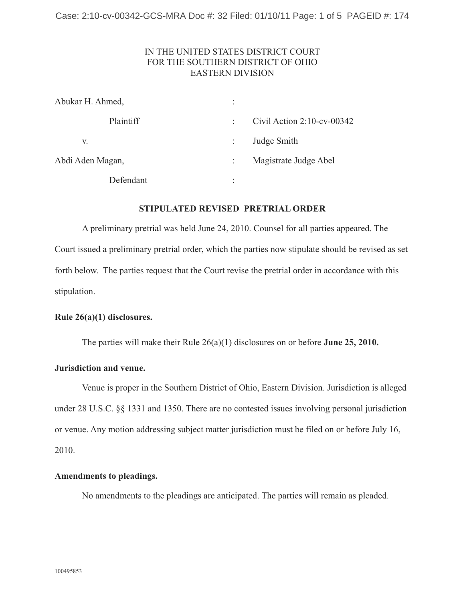# IN THE UNITED STATES DISTRICT COURT FOR THE SOUTHERN DISTRICT OF OHIO EASTERN DIVISION

| Abukar H. Ahmed, | $\vdots$                           |  |
|------------------|------------------------------------|--|
| Plaintiff        | Civil Action $2:10$ -cv-00342<br>÷ |  |
| V.               | Judge Smith                        |  |
| Abdi Aden Magan, | Magistrate Judge Abel              |  |
| Defendant        | ٠<br>$\bullet$                     |  |

### **STIPULATED REVISED PRETRIAL ORDER**

A preliminary pretrial was held June 24, 2010. Counsel for all parties appeared. The Court issued a preliminary pretrial order, which the parties now stipulate should be revised as set forth below. The parties request that the Court revise the pretrial order in accordance with this stipulation.

#### **Rule 26(a)(1) disclosures.**

The parties will make their Rule 26(a)(1) disclosures on or before **June 25, 2010.** 

### **Jurisdiction and venue.**

Venue is proper in the Southern District of Ohio, Eastern Division. Jurisdiction is alleged under 28 U.S.C. §§ 1331 and 1350. There are no contested issues involving personal jurisdiction or venue. Any motion addressing subject matter jurisdiction must be filed on or before July 16, 2010.

#### **Amendments to pleadings.**

No amendments to the pleadings are anticipated. The parties will remain as pleaded.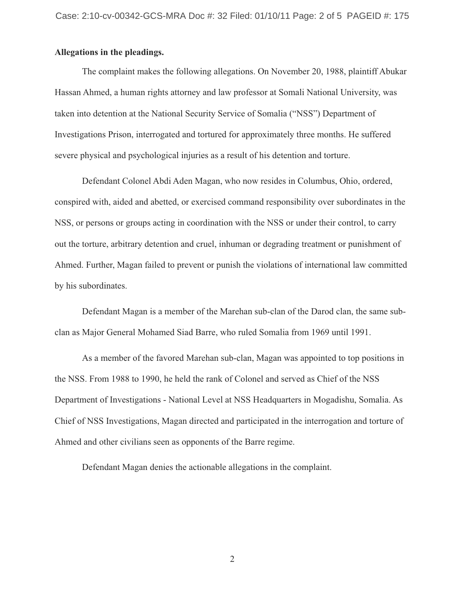### **Allegations in the pleadings.**

The complaint makes the following allegations. On November 20, 1988, plaintiff Abukar Hassan Ahmed, a human rights attorney and law professor at Somali National University, was taken into detention at the National Security Service of Somalia ("NSS") Department of Investigations Prison, interrogated and tortured for approximately three months. He suffered severe physical and psychological injuries as a result of his detention and torture.

Defendant Colonel Abdi Aden Magan, who now resides in Columbus, Ohio, ordered, conspired with, aided and abetted, or exercised command responsibility over subordinates in the NSS, or persons or groups acting in coordination with the NSS or under their control, to carry out the torture, arbitrary detention and cruel, inhuman or degrading treatment or punishment of Ahmed. Further, Magan failed to prevent or punish the violations of international law committed by his subordinates.

Defendant Magan is a member of the Marehan sub-clan of the Darod clan, the same subclan as Major General Mohamed Siad Barre, who ruled Somalia from 1969 until 1991.

As a member of the favored Marehan sub-clan, Magan was appointed to top positions in the NSS. From 1988 to 1990, he held the rank of Colonel and served as Chief of the NSS Department of Investigations - National Level at NSS Headquarters in Mogadishu, Somalia. As Chief of NSS Investigations, Magan directed and participated in the interrogation and torture of Ahmed and other civilians seen as opponents of the Barre regime.

Defendant Magan denies the actionable allegations in the complaint.

2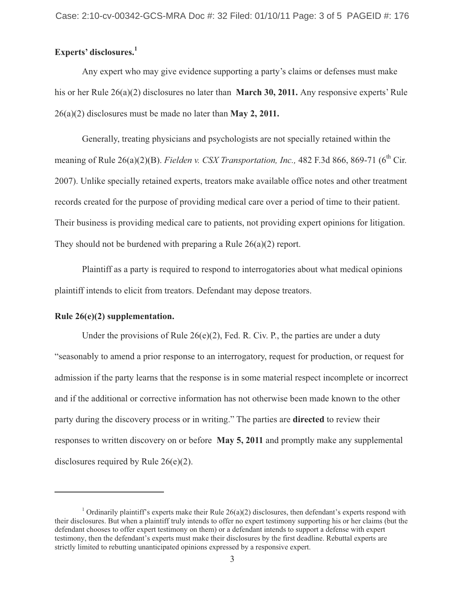# **Experts' disclosures.1**

Any expert who may give evidence supporting a party's claims or defenses must make his or her Rule 26(a)(2) disclosures no later than **March 30, 2011.** Any responsive experts' Rule 26(a)(2) disclosures must be made no later than **May 2, 2011.** 

Generally, treating physicians and psychologists are not specially retained within the meaning of Rule 26(a)(2)(B). *Fielden v. CSX Transportation, Inc.*, 482 F.3d 866, 869-71 (6<sup>th</sup> Cir. 2007). Unlike specially retained experts, treators make available office notes and other treatment records created for the purpose of providing medical care over a period of time to their patient. Their business is providing medical care to patients, not providing expert opinions for litigation. They should not be burdened with preparing a Rule 26(a)(2) report.

Plaintiff as a party is required to respond to interrogatories about what medical opinions plaintiff intends to elicit from treators. Defendant may depose treators.

#### **Rule 26(e)(2) supplementation.**

Under the provisions of Rule  $26(e)(2)$ , Fed. R. Civ. P., the parties are under a duty "seasonably to amend a prior response to an interrogatory, request for production, or request for admission if the party learns that the response is in some material respect incomplete or incorrect and if the additional or corrective information has not otherwise been made known to the other party during the discovery process or in writing." The parties are **directed** to review their responses to written discovery on or before **May 5, 2011** and promptly make any supplemental disclosures required by Rule 26(e)(2).

<sup>&</sup>lt;sup>1</sup> Ordinarily plaintiff's experts make their Rule  $26(a)(2)$  disclosures, then defendant's experts respond with their disclosures. But when a plaintiff truly intends to offer no expert testimony supporting his or her claims (but the defendant chooses to offer expert testimony on them) or a defendant intends to support a defense with expert testimony, then the defendant's experts must make their disclosures by the first deadline. Rebuttal experts are strictly limited to rebutting unanticipated opinions expressed by a responsive expert.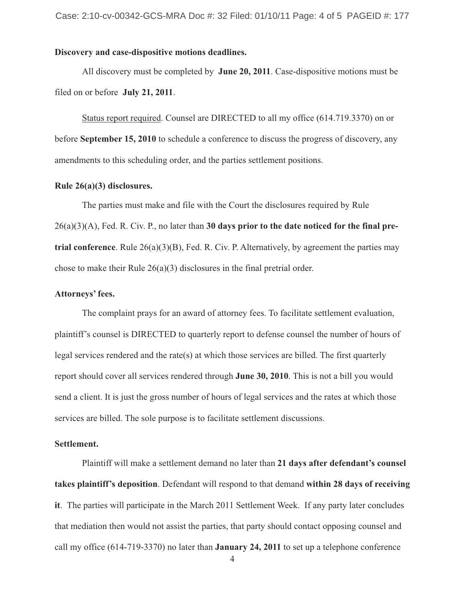# **Discovery and case-dispositive motions deadlines.**

All discovery must be completed by **June 20, 2011**. Case-dispositive motions must be filed on or before **July 21, 2011**.

Status report required. Counsel are DIRECTED to all my office (614.719.3370) on or before **September 15, 2010** to schedule a conference to discuss the progress of discovery, any amendments to this scheduling order, and the parties settlement positions.

### **Rule 26(a)(3) disclosures.**

The parties must make and file with the Court the disclosures required by Rule 26(a)(3)(A), Fed. R. Civ. P., no later than **30 days prior to the date noticed for the final pretrial conference**. Rule 26(a)(3)(B), Fed. R. Civ. P. Alternatively, by agreement the parties may chose to make their Rule 26(a)(3) disclosures in the final pretrial order.

#### **Attorneys' fees.**

The complaint prays for an award of attorney fees. To facilitate settlement evaluation, plaintiff's counsel is DIRECTED to quarterly report to defense counsel the number of hours of legal services rendered and the rate(s) at which those services are billed. The first quarterly report should cover all services rendered through **June 30, 2010**. This is not a bill you would send a client. It is just the gross number of hours of legal services and the rates at which those services are billed. The sole purpose is to facilitate settlement discussions.

#### **Settlement.**

Plaintiff will make a settlement demand no later than **21 days after defendant's counsel takes plaintiff's deposition**. Defendant will respond to that demand **within 28 days of receiving it**. The parties will participate in the March 2011 Settlement Week. If any party later concludes that mediation then would not assist the parties, that party should contact opposing counsel and call my office (614-719-3370) no later than **January 24, 2011** to set up a telephone conference